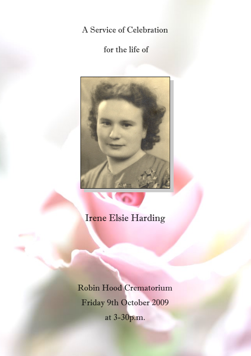A Service of Celebration

for the life of



# Irene Elsie Harding

Robin Hood Crematorium Friday 9th October 2009 at 3-30p.m.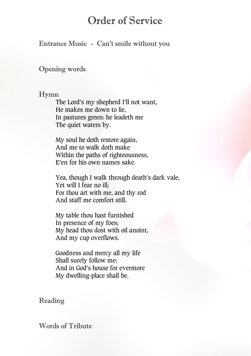## Order of Service

### Entrance Music - Can't smile without you

#### Opening words

#### Hymn

The Lord's my shepherd I'll not want, He makes me down to lie, In pastures green: he leadeth me The quiet waters by.

My soul he doth restore again, And me to walk doth make Within the paths of righteousness, E'en for his own names sake.

Yea, though I walk through death's dark vale, Yet will I fear no ill; For thou art with me, and thy rod And staff me comfort still.

My table thou hast furnished In presence of my foes; My head thou dost with oil anoint, And my cup overflows.

Goodness and mercy all my life Shall surely follow me; And in God's house for evermore My dwelling-place shall be.

## Reading

#### Words of Tribute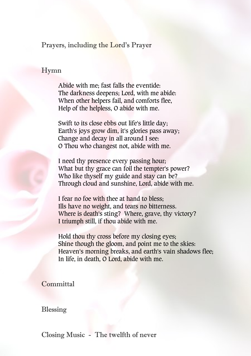Prayers, including the Lord's Prayer

#### Hymn

Abide with me; fast falls the eventide: The darkness deepens; Lord, with me abide: When other helpers fail, and comforts flee, Help of the helpless, O abide with me.

Swift to its close ebbs out life's little day; Earth's joys grow dim, it's glories pass away; Change and decay in all around I see: O Thou who changest not, abide with me.

I need thy presence every passing hour; What but thy grace can foil the tempter's power? Who like thyself my guide and stay can be? Through cloud and sunshine, Lord, abide with me.

I fear no foe with thee at hand to bless; Ills have no weight, and tears no bitterness. Where is death's sting? Where, grave, thy victory? I triumph still, if thou abide with me.

Hold thou thy cross before my closing eyes; Shine though the gloom, and point me to the skies: Heaven's morning breaks, and earth's vain shadows flee; In life, in death, O Lord, abide with me.

Committal

#### Blessing

Closing Music - The twelfth of never